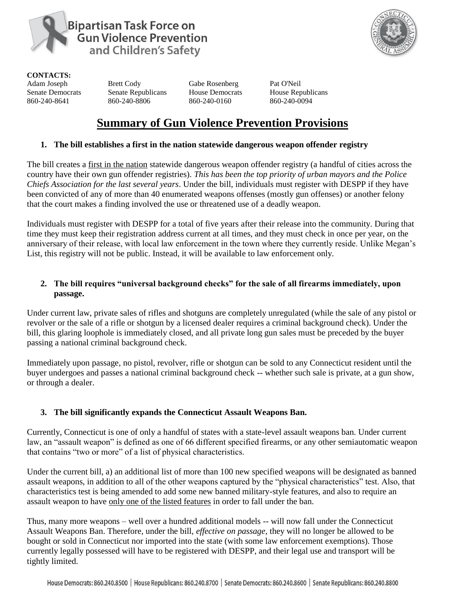

**Bipartisan Task Force on Gun Violence Prevention** and Children's Safety



**CONTACTS:** 

Adam Joseph Brett Cody Gabe Rosenberg Pat O'Neil Senate Democrats Senate Republicans House Democrats House Republicans 860-240-8641 860-240-8806 860-240-0160 860-240-0094

# **Summary of Gun Violence Prevention Provisions**

# **1. The bill establishes a first in the nation statewide dangerous weapon offender registry**

The bill creates a first in the nation statewide dangerous weapon offender registry (a handful of cities across the country have their own gun offender registries). *This has been the top priority of urban mayors and the Police Chiefs Association for the last several years*. Under the bill, individuals must register with DESPP if they have been convicted of any of more than 40 enumerated weapons offenses (mostly gun offenses) or another felony that the court makes a finding involved the use or threatened use of a deadly weapon.

Individuals must register with DESPP for a total of five years after their release into the community. During that time they must keep their registration address current at all times, and they must check in once per year, on the anniversary of their release, with local law enforcement in the town where they currently reside. Unlike Megan's List, this registry will not be public. Instead, it will be available to law enforcement only.

# **2. The bill requires "universal background checks" for the sale of all firearms immediately, upon passage.**

Under current law, private sales of rifles and shotguns are completely unregulated (while the sale of any pistol or revolver or the sale of a rifle or shotgun by a licensed dealer requires a criminal background check). Under the bill, this glaring loophole is immediately closed, and all private long gun sales must be preceded by the buyer passing a national criminal background check.

Immediately upon passage, no pistol, revolver, rifle or shotgun can be sold to any Connecticut resident until the buyer undergoes and passes a national criminal background check -- whether such sale is private, at a gun show, or through a dealer.

# **3. The bill significantly expands the Connecticut Assault Weapons Ban.**

Currently, Connecticut is one of only a handful of states with a state-level assault weapons ban. Under current law, an "assault weapon" is defined as one of 66 different specified firearms, or any other semiautomatic weapon that contains "two or more" of a list of physical characteristics.

Under the current bill, a) an additional list of more than 100 new specified weapons will be designated as banned assault weapons, in addition to all of the other weapons captured by the "physical characteristics" test. Also, that characteristics test is being amended to add some new banned military-style features, and also to require an assault weapon to have only one of the listed features in order to fall under the ban.

Thus, many more weapons – well over a hundred additional models -- will now fall under the Connecticut Assault Weapons Ban. Therefore, under the bill, *effective on passage,* they will no longer be allowed to be bought or sold in Connecticut nor imported into the state (with some law enforcement exemptions). Those currently legally possessed will have to be registered with DESPP, and their legal use and transport will be tightly limited.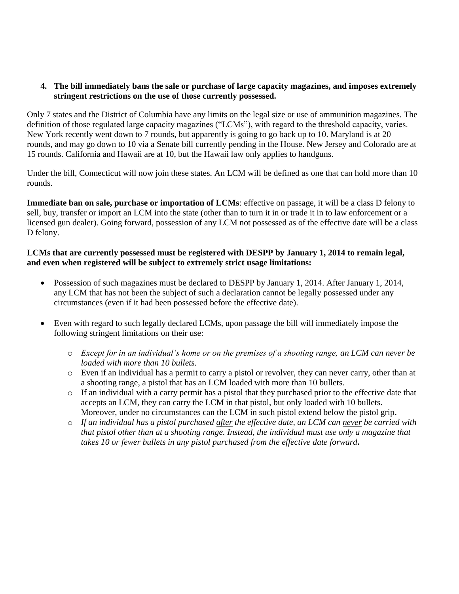#### **4. The bill immediately bans the sale or purchase of large capacity magazines, and imposes extremely stringent restrictions on the use of those currently possessed.**

Only 7 states and the District of Columbia have any limits on the legal size or use of ammunition magazines. The definition of those regulated large capacity magazines ("LCMs"), with regard to the threshold capacity, varies. New York recently went down to 7 rounds, but apparently is going to go back up to 10. Maryland is at 20 rounds, and may go down to 10 via a Senate bill currently pending in the House. New Jersey and Colorado are at 15 rounds. California and Hawaii are at 10, but the Hawaii law only applies to handguns.

Under the bill, Connecticut will now join these states. An LCM will be defined as one that can hold more than 10 rounds.

**Immediate ban on sale, purchase or importation of LCMs**: effective on passage, it will be a class D felony to sell, buy, transfer or import an LCM into the state (other than to turn it in or trade it in to law enforcement or a licensed gun dealer). Going forward, possession of any LCM not possessed as of the effective date will be a class D felony.

## **LCMs that are currently possessed must be registered with DESPP by January 1, 2014 to remain legal, and even when registered will be subject to extremely strict usage limitations:**

- Possession of such magazines must be declared to DESPP by January 1, 2014. After January 1, 2014, any LCM that has not been the subject of such a declaration cannot be legally possessed under any circumstances (even if it had been possessed before the effective date).
- Even with regard to such legally declared LCMs, upon passage the bill will immediately impose the following stringent limitations on their use:
	- o *Except for in an individual's home or on the premises of a shooting range, an LCM can never be loaded with more than 10 bullets.*
	- o Even if an individual has a permit to carry a pistol or revolver, they can never carry, other than at a shooting range, a pistol that has an LCM loaded with more than 10 bullets.
	- o If an individual with a carry permit has a pistol that they purchased prior to the effective date that accepts an LCM, they can carry the LCM in that pistol, but only loaded with 10 bullets. Moreover, under no circumstances can the LCM in such pistol extend below the pistol grip.
	- o *If an individual has a pistol purchased after the effective date, an LCM can never be carried with that pistol other than at a shooting range. Instead, the individual must use only a magazine that takes 10 or fewer bullets in any pistol purchased from the effective date forward***.**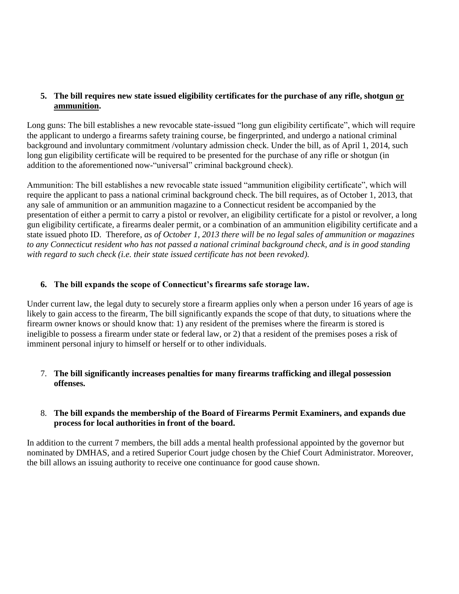#### **5. The bill requires new state issued eligibility certificates for the purchase of any rifle, shotgun or ammunition.**

Long guns: The bill establishes a new revocable state-issued "long gun eligibility certificate", which will require the applicant to undergo a firearms safety training course, be fingerprinted, and undergo a national criminal background and involuntary commitment /voluntary admission check. Under the bill, as of April 1, 2014, such long gun eligibility certificate will be required to be presented for the purchase of any rifle or shotgun (in addition to the aforementioned now-"universal" criminal background check).

Ammunition: The bill establishes a new revocable state issued "ammunition eligibility certificate", which will require the applicant to pass a national criminal background check. The bill requires, as of October 1, 2013, that any sale of ammunition or an ammunition magazine to a Connecticut resident be accompanied by the presentation of either a permit to carry a pistol or revolver, an eligibility certificate for a pistol or revolver, a long gun eligibility certificate, a firearms dealer permit, or a combination of an ammunition eligibility certificate and a state issued photo ID. Therefore*, as of October 1, 2013 there will be no legal sales of ammunition or magazines to any Connecticut resident who has not passed a national criminal background check, and is in good standing with regard to such check (i.e. their state issued certificate has not been revoked).* 

## **6. The bill expands the scope of Connecticut's firearms safe storage law.**

Under current law, the legal duty to securely store a firearm applies only when a person under 16 years of age is likely to gain access to the firearm, The bill significantly expands the scope of that duty, to situations where the firearm owner knows or should know that: 1) any resident of the premises where the firearm is stored is ineligible to possess a firearm under state or federal law, or 2) that a resident of the premises poses a risk of imminent personal injury to himself or herself or to other individuals.

## 7. **The bill significantly increases penalties for many firearms trafficking and illegal possession offenses.**

#### 8. **The bill expands the membership of the Board of Firearms Permit Examiners, and expands due process for local authorities in front of the board.**

In addition to the current 7 members, the bill adds a mental health professional appointed by the governor but nominated by DMHAS, and a retired Superior Court judge chosen by the Chief Court Administrator. Moreover, the bill allows an issuing authority to receive one continuance for good cause shown.